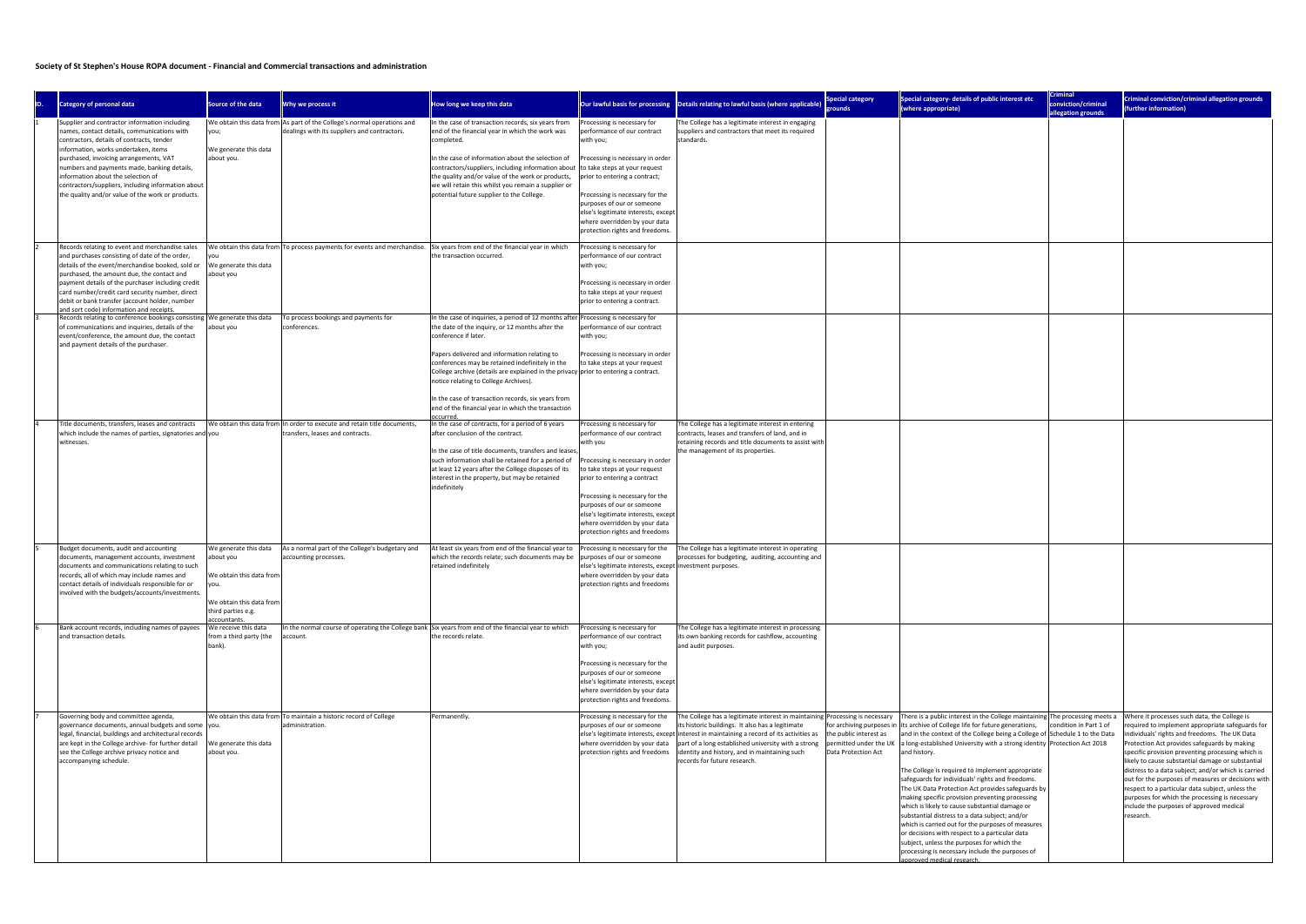## Society of St Stephen's House ROPA document - Financial and Commercial transactions and administration

| ID. | Category of personal data                                                                                                                                                                                                                                                                                                                                                                                                   | Source of the data                                                                                                                        | Why we process it                                                                                                          | How long we keep this data                                                                                                                                                                                                                                                                                                                                                                                                                                                                                             |                                                                                                                                                                                                                                                                                                                                                          | Our lawful basis for processing  Details relating to lawful basis (where applicable)                                                                                                                                                                                                                                                                                  | <b>Special category</b><br>rounds                                                                    | Special category- details of public interest etc<br>(where appropriate)                                                                                                                                                                                                                                                                                                                                                                                                                                                                                                                                                                                                                                                                                                                                                                                                  | <b>Criminal</b><br>conviction/criminal<br>allegation grounds | Criminal conviction/criminal allegation grounds<br>(further information)                                                                                                                                                                                                                                                                                                                                                                                                                                                                                                                |
|-----|-----------------------------------------------------------------------------------------------------------------------------------------------------------------------------------------------------------------------------------------------------------------------------------------------------------------------------------------------------------------------------------------------------------------------------|-------------------------------------------------------------------------------------------------------------------------------------------|----------------------------------------------------------------------------------------------------------------------------|------------------------------------------------------------------------------------------------------------------------------------------------------------------------------------------------------------------------------------------------------------------------------------------------------------------------------------------------------------------------------------------------------------------------------------------------------------------------------------------------------------------------|----------------------------------------------------------------------------------------------------------------------------------------------------------------------------------------------------------------------------------------------------------------------------------------------------------------------------------------------------------|-----------------------------------------------------------------------------------------------------------------------------------------------------------------------------------------------------------------------------------------------------------------------------------------------------------------------------------------------------------------------|------------------------------------------------------------------------------------------------------|--------------------------------------------------------------------------------------------------------------------------------------------------------------------------------------------------------------------------------------------------------------------------------------------------------------------------------------------------------------------------------------------------------------------------------------------------------------------------------------------------------------------------------------------------------------------------------------------------------------------------------------------------------------------------------------------------------------------------------------------------------------------------------------------------------------------------------------------------------------------------|--------------------------------------------------------------|-----------------------------------------------------------------------------------------------------------------------------------------------------------------------------------------------------------------------------------------------------------------------------------------------------------------------------------------------------------------------------------------------------------------------------------------------------------------------------------------------------------------------------------------------------------------------------------------|
|     | Supplier and contractor information including<br>names, contact details, communications with<br>contractors, details of contracts, tender<br>information, works undertaken, items<br>purchased, invoicing arrangements, VAT<br>numbers and payments made, banking details,<br>information about the selection of<br>contractors/suppliers, including information about<br>the quality and/or value of the work or products. | you;<br>We generate this data<br>about you.                                                                                               | We obtain this data from As part of the College's normal operations and<br>dealings with its suppliers and contractors.    | In the case of transaction records, six years from<br>end of the financial year in which the work was<br>completed.<br>In the case of information about the selection of<br>contractors/suppliers, including information about<br>the quality and/or value of the work or products,<br>we will retain this whilst you remain a supplier or<br>potential future supplier to the College.                                                                                                                                | Processing is necessary for<br>berformance of our contract<br>with you;<br>Processing is necessary in order<br>to take steps at your request<br>prior to entering a contract;<br>Processing is necessary for the<br>purposes of our or someone<br>else's legitimate interests, excep<br>where overridden by your data<br>protection rights and freedoms. | The College has a legitimate interest in engaging<br>suppliers and contractors that meet its required<br>Istandards.                                                                                                                                                                                                                                                  |                                                                                                      |                                                                                                                                                                                                                                                                                                                                                                                                                                                                                                                                                                                                                                                                                                                                                                                                                                                                          |                                                              |                                                                                                                                                                                                                                                                                                                                                                                                                                                                                                                                                                                         |
|     | Records relating to event and merchandise sales<br>and purchases consisting of date of the order,<br>details of the event/merchandise booked, sold or<br>purchased, the amount due, the contact and<br>payment details of the purchaser including credit<br>card number/credit card security number, direct<br>debit or bank transfer (account holder, number<br>and sort code) information and receipts.                   | We generate this data<br>about you                                                                                                        | We obtain this data from To process payments for events and merchandise. Six years from end of the financial year in which | the transaction occurred.                                                                                                                                                                                                                                                                                                                                                                                                                                                                                              | Processing is necessary for<br>performance of our contract<br>with you;<br>Processing is necessary in order<br>to take steps at your request<br>prior to entering a contract.                                                                                                                                                                            |                                                                                                                                                                                                                                                                                                                                                                       |                                                                                                      |                                                                                                                                                                                                                                                                                                                                                                                                                                                                                                                                                                                                                                                                                                                                                                                                                                                                          |                                                              |                                                                                                                                                                                                                                                                                                                                                                                                                                                                                                                                                                                         |
|     | Records relating to conference bookings consisting   We generate this data<br>of communications and inquiries, details of the<br>event/conference, the amount due, the contact<br>and payment details of the purchaser.                                                                                                                                                                                                     | about you                                                                                                                                 | To process bookings and payments for<br>conferences.                                                                       | In the case of inquiries, a period of 12 months after Processing is necessary for<br>the date of the inquiry, or 12 months after the<br>conference if later.<br>apers delivered and information relating to<br>conferences may be retained indefinitely in the<br>College archive (details are explained in the privacy prior to entering a contract.<br>notice relating to College Archives).<br>n the case of transaction records, six years from<br>end of the financial year in which the transaction<br>occurred. | erformance of our contract<br>with you;<br>Processing is necessary in order<br>to take steps at your request                                                                                                                                                                                                                                             |                                                                                                                                                                                                                                                                                                                                                                       |                                                                                                      |                                                                                                                                                                                                                                                                                                                                                                                                                                                                                                                                                                                                                                                                                                                                                                                                                                                                          |                                                              |                                                                                                                                                                                                                                                                                                                                                                                                                                                                                                                                                                                         |
|     | Title documents, transfers, leases and contracts<br>which include the names of parties, signatories and you<br>witnesses.                                                                                                                                                                                                                                                                                                   |                                                                                                                                           | We obtain this data from In order to execute and retain title documents,<br>transfers, leases and contracts.               | In the case of contracts, for a period of 6 years<br>after conclusion of the contract.<br>In the case of title documents, transfers and leases,<br>such information shall be retained for a period of<br>at least 12 years after the College disposes of its<br>interest in the property, but may be retained<br>indefinitely                                                                                                                                                                                          | Processing is necessary for<br>performance of our contract<br>with you<br>Processing is necessary in order<br>to take steps at your request<br>prior to entering a contract<br>Processing is necessary for the<br>purposes of our or someone<br>else's legitimate interests, except<br>where overridden by your data<br>protection rights and freedoms   | The College has a legitimate interest in entering<br>contracts, leases and transfers of land, and in<br>retaining records and title documents to assist with<br>the management of its properties.                                                                                                                                                                     |                                                                                                      |                                                                                                                                                                                                                                                                                                                                                                                                                                                                                                                                                                                                                                                                                                                                                                                                                                                                          |                                                              |                                                                                                                                                                                                                                                                                                                                                                                                                                                                                                                                                                                         |
|     | Budget documents, audit and accounting<br>documents, management accounts, investment<br>documents and communications relating to such<br>records, all of which may include names and<br>contact details of individuals responsible for or<br>involved with the budgets/accounts/investments.                                                                                                                                | We generate this data<br>about you<br>We obtain this data from<br>lyou.<br>We obtain this data from<br>third parties e.g.<br>accountants. | As a normal part of the College's budgetary and<br>accounting processes.                                                   | At least six years from end of the financial year to<br>which the records relate; such documents may be<br>retained indefinitely                                                                                                                                                                                                                                                                                                                                                                                       | Processing is necessary for the<br>purposes of our or someone<br>else's legitimate interests, except investment purposes.<br>where overridden by your data<br>protection rights and freedoms                                                                                                                                                             | The College has a legitimate interest in operating<br>rocesses for budgeting, auditing, accounting and                                                                                                                                                                                                                                                                |                                                                                                      |                                                                                                                                                                                                                                                                                                                                                                                                                                                                                                                                                                                                                                                                                                                                                                                                                                                                          |                                                              |                                                                                                                                                                                                                                                                                                                                                                                                                                                                                                                                                                                         |
|     | Bank account records, including names of payees<br>and transaction details.                                                                                                                                                                                                                                                                                                                                                 | We receive this data<br>from a third party (the<br>bank).                                                                                 | In the normal course of operating the College bank Six years from end of the financial year to which<br>account.           | the records relate.                                                                                                                                                                                                                                                                                                                                                                                                                                                                                                    | Processing is necessary for<br>performance of our contract<br>with you;<br>Processing is necessary for the<br>purposes of our or someone<br>else's legitimate interests, except<br>where overridden by your data<br>protection rights and freedoms.                                                                                                      | The College has a legitimate interest in processing<br>its own banking records for cashflow, accounting<br>and audit purposes.                                                                                                                                                                                                                                        |                                                                                                      |                                                                                                                                                                                                                                                                                                                                                                                                                                                                                                                                                                                                                                                                                                                                                                                                                                                                          |                                                              |                                                                                                                                                                                                                                                                                                                                                                                                                                                                                                                                                                                         |
|     | Governing body and committee agenda,<br>governance documents, annual budgets and some you.<br>legal, financial, buildings and architectural records<br>are kept in the College archive- for further detail<br>see the College archive privacy notice and<br>accompanying schedule.                                                                                                                                          | We generate this data<br>about you.                                                                                                       | We obtain this data from To maintain a historic record of College<br>administration.                                       | Permanently                                                                                                                                                                                                                                                                                                                                                                                                                                                                                                            | Processing is necessary for the<br>purposes of our or someone<br>where overridden by your data<br>protection rights and freedoms                                                                                                                                                                                                                         | The College has a legitimate interest in maintaining Processing is necessary<br>its historic buildings. It also has a legitimate<br>else's legitimate interests, except interest in maintaining a record of its activities as<br>part of a long established university with a strong<br>identity and history, and in maintaining such<br>records for future research. | for archiving purposes in<br>the public interest as<br>permitted under the UK<br>Data Protection Act | There is a public interest in the College maintaining The processing meets a<br>its archive of College life for future generations,<br>and in the context of the College being a College of Schedule 1 to the Data<br>a long-established University with a strong identity Protection Act 2018<br>and history.<br>The College is required to implement appropriate<br>safeguards for individuals' rights and freedoms.<br>The UK Data Protection Act provides safeguards by<br>making specific provision preventing processing<br>which is likely to cause substantial damage or<br>substantial distress to a data subject; and/or<br>which is carried out for the purposes of measures<br>or decisions with respect to a particular data<br>subject, unless the purposes for which the<br>processing is necessary include the purposes of<br>innroved medical research. | condition in Part 1 of                                       | Where it processes such data, the College is<br>required to implement appropriate safeguards for<br>individuals' rights and freedoms. The UK Data<br>Protection Act provides safeguards by making<br>specific provision preventing processing which is<br>likely to cause substantial damage or substantial<br>distress to a data subject; and/or which is carried<br>out for the purposes of measures or decisions with<br>respect to a particular data subject, unless the<br>purposes for which the processing is necessary<br>include the purposes of approved medical<br>research. |